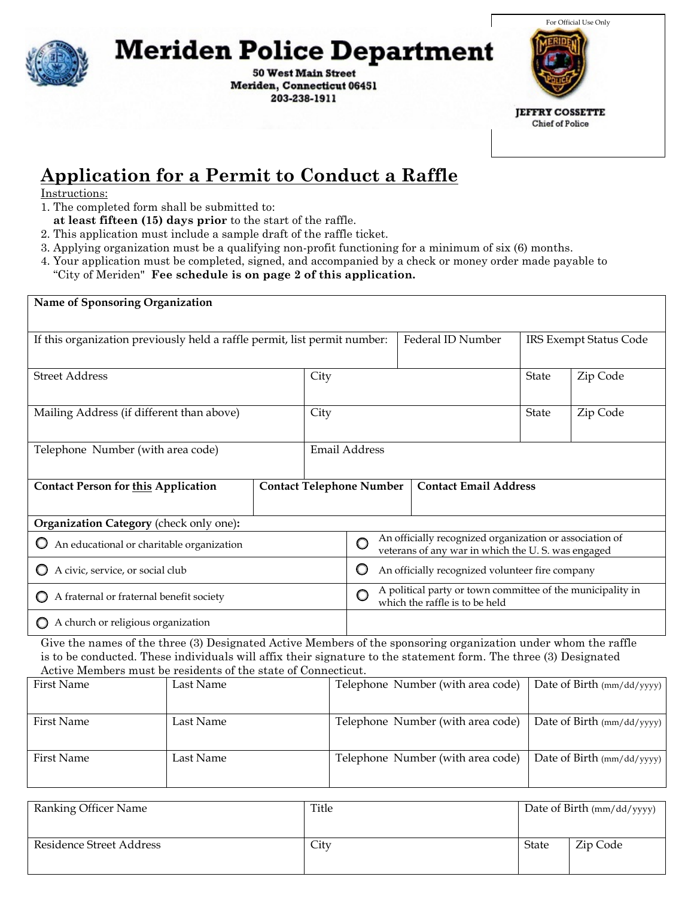

## **Meriden Police Department**

50 West Main St Meriden, CT 06451 203-238-1911



## **Application for a Permit to Conduct a Raffle**

Instructions:

1.

- **at least fifteen (15) days prior** to the start of the raffle.
- 2. This application must include a sample draft of the raffle ticket.
- 3. Applying organization must be a qualifying non-profit functioning for a minimum of six (6) months.
- 4. Your application must be completed, signed, and accompanied by a check or money order made payable to "City of Meriden" **Fee schedule is on page 2 of this application.**

| Name of Sponsoring Organization                                                                                                                                                                                                                                                                     |                                                                                                   |                   |               |                                                                                                                         |                                   |                                              |                            |  |  |
|-----------------------------------------------------------------------------------------------------------------------------------------------------------------------------------------------------------------------------------------------------------------------------------------------------|---------------------------------------------------------------------------------------------------|-------------------|---------------|-------------------------------------------------------------------------------------------------------------------------|-----------------------------------|----------------------------------------------|----------------------------|--|--|
| If this organization previously held a raffle permit, list permit number:                                                                                                                                                                                                                           |                                                                                                   | Federal ID Number |               | IRS Exempt Status Code                                                                                                  |                                   |                                              |                            |  |  |
| <b>Street Address</b>                                                                                                                                                                                                                                                                               |                                                                                                   |                   | City          |                                                                                                                         |                                   | State                                        | Zip Code                   |  |  |
| Mailing Address (if different than above)                                                                                                                                                                                                                                                           |                                                                                                   |                   | City          |                                                                                                                         |                                   | <b>State</b>                                 | Zip Code                   |  |  |
| Telephone Number (with area code)                                                                                                                                                                                                                                                                   |                                                                                                   |                   | Email Address |                                                                                                                         |                                   |                                              |                            |  |  |
| <b>Contact Telephone Number</b><br><b>Contact Person for this Application</b>                                                                                                                                                                                                                       |                                                                                                   |                   |               | <b>Contact Email Address</b>                                                                                            |                                   |                                              |                            |  |  |
| Organization Category (check only one):                                                                                                                                                                                                                                                             |                                                                                                   |                   |               |                                                                                                                         |                                   |                                              |                            |  |  |
| An educational or charitable organization                                                                                                                                                                                                                                                           |                                                                                                   |                   |               | An officially recognized organization or association of<br>$\circ$<br>veterans of any war in which the U.S. was engaged |                                   |                                              |                            |  |  |
| A civic, service, or social club                                                                                                                                                                                                                                                                    | O<br>An officially recognized volunteer fire company                                              |                   |               |                                                                                                                         |                                   |                                              |                            |  |  |
| A fraternal or fraternal benefit society                                                                                                                                                                                                                                                            | A political party or town committee of the municipality in<br>O<br>which the raffle is to be held |                   |               |                                                                                                                         |                                   |                                              |                            |  |  |
| $\bigcirc$ A church or religious organization                                                                                                                                                                                                                                                       |                                                                                                   |                   |               |                                                                                                                         |                                   |                                              |                            |  |  |
| Give the names of the three (3) Designated Active Members of the sponsoring organization under whom the raffle<br>is to be conducted. These individuals will affix their signature to the statement form. The three (3) Designated<br>Active Members must be residents of the state of Connecticut. |                                                                                                   |                   |               |                                                                                                                         |                                   |                                              |                            |  |  |
| <b>First Name</b>                                                                                                                                                                                                                                                                                   | Last Name                                                                                         |                   |               | Telephone Number (with area code)                                                                                       |                                   |                                              | Date of Birth (mm/dd/yyyy) |  |  |
| <b>First Name</b>                                                                                                                                                                                                                                                                                   | Last Name                                                                                         |                   |               |                                                                                                                         | Telephone Number (with area code) | Date of Birth (mm/dd/yyyy)                   |                            |  |  |
| <b>First Name</b>                                                                                                                                                                                                                                                                                   | Last Name                                                                                         |                   |               | Telephone Number (with area code)                                                                                       |                                   |                                              | Date of Birth (mm/dd/yyyy) |  |  |
| $\mathbf{D}$ 1. $\mathbf{C}$ 1.                                                                                                                                                                                                                                                                     |                                                                                                   |                   | $T = 1$       |                                                                                                                         |                                   | $\mathbf{D}$ is $\mathbf{D}$ in $\mathbf{D}$ |                            |  |  |

| Ranking Officer Name     | Title | Date of Birth $\frac{\text{mm}}{\text{dd}}$ yyyy) |          |  |
|--------------------------|-------|---------------------------------------------------|----------|--|
| Residence Street Address | City  | State                                             | Zip Code |  |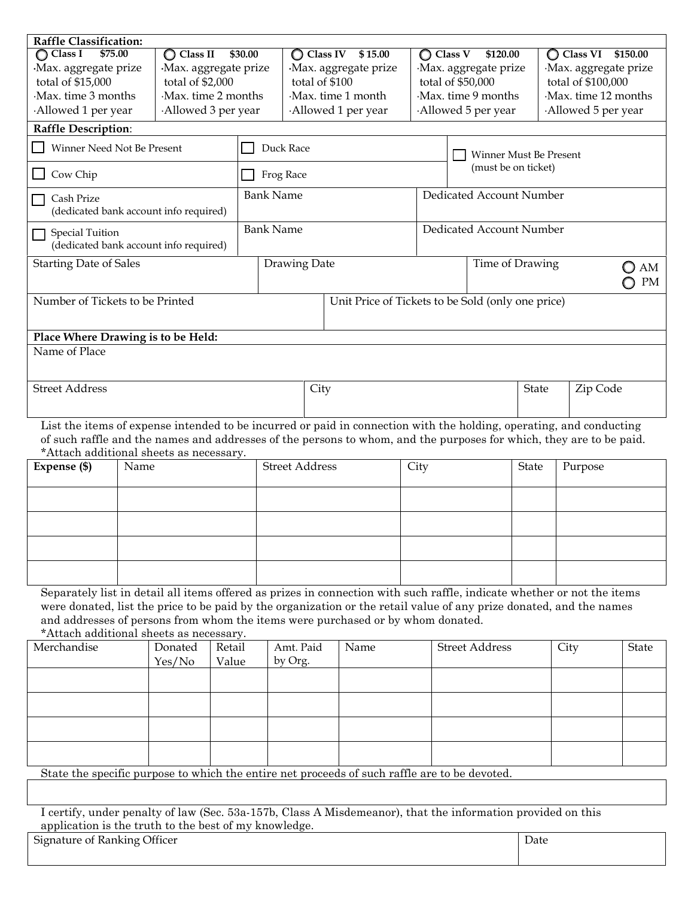| Raffle Classification:                                                                                                                                         |                                                                |                                |                      |                       |                             |                                                                                                          |                    |                                |                      |                     |                     |              |
|----------------------------------------------------------------------------------------------------------------------------------------------------------------|----------------------------------------------------------------|--------------------------------|----------------------|-----------------------|-----------------------------|----------------------------------------------------------------------------------------------------------|--------------------|--------------------------------|----------------------|---------------------|---------------------|--------------|
| \$75.00<br>$\bigcirc$ Class I                                                                                                                                  |                                                                | $\bigcirc$ Class II<br>\$30.00 |                      |                       | $\bigcirc$ Class IV \$15.00 |                                                                                                          |                    | $\bigcirc$ Class V<br>\$120.00 |                      |                     | C Class VI \$150.00 |              |
| Max. aggregate prize                                                                                                                                           |                                                                |                                | Max. aggregate prize |                       |                             | Max. aggregate prize<br>·Max. aggregate prize                                                            |                    |                                | Max. aggregate prize |                     |                     |              |
| total of \$15,000                                                                                                                                              |                                                                | total of \$2,000               | total of \$100       |                       |                             |                                                                                                          | total of \$50,000  |                                |                      | total of \$100,000  |                     |              |
| Max. time 3 months                                                                                                                                             |                                                                | Max. time 2 months             |                      | Max. time 1 month     |                             |                                                                                                          | Max. time 9 months |                                |                      | Max. time 12 months |                     |              |
|                                                                                                                                                                | Allowed 1 per year<br>Allowed 3 per year<br>Allowed 1 per year |                                |                      |                       |                             |                                                                                                          | Allowed 5 per year |                                |                      | Allowed 5 per year  |                     |              |
| <b>Raffle Description:</b>                                                                                                                                     |                                                                |                                |                      |                       |                             |                                                                                                          |                    |                                |                      |                     |                     |              |
| Winner Need Not Be Present                                                                                                                                     |                                                                |                                |                      | Duck Race             |                             |                                                                                                          |                    | Winner Must Be Present         |                      |                     |                     |              |
| Cow Chip                                                                                                                                                       |                                                                |                                |                      | Frog Race             |                             |                                                                                                          |                    | (must be on ticket)            |                      |                     |                     |              |
| Cash Prize<br>(dedicated bank account info required)                                                                                                           |                                                                |                                |                      | <b>Bank Name</b>      |                             |                                                                                                          |                    | Dedicated Account Number       |                      |                     |                     |              |
| <b>Special Tuition</b><br>(dedicated bank account info required)                                                                                               |                                                                |                                |                      | <b>Bank Name</b>      |                             |                                                                                                          |                    | Dedicated Account Number       |                      |                     |                     |              |
| <b>Starting Date of Sales</b>                                                                                                                                  |                                                                |                                |                      | Drawing Date          |                             |                                                                                                          |                    | Time of Drawing<br>AM<br>PM    |                      |                     |                     |              |
| Number of Tickets to be Printed                                                                                                                                |                                                                |                                |                      |                       |                             | Unit Price of Tickets to be Sold (only one price)                                                        |                    |                                |                      |                     |                     |              |
|                                                                                                                                                                |                                                                |                                |                      |                       |                             |                                                                                                          |                    |                                |                      |                     |                     |              |
| Place Where Drawing is to be Held:<br>Name of Place                                                                                                            |                                                                |                                |                      |                       |                             |                                                                                                          |                    |                                |                      |                     |                     |              |
|                                                                                                                                                                |                                                                |                                |                      |                       |                             |                                                                                                          |                    |                                |                      |                     |                     |              |
| <b>Street Address</b>                                                                                                                                          |                                                                |                                |                      | City                  |                             |                                                                                                          |                    | Zip Code<br><b>State</b>       |                      |                     |                     |              |
| List the items of expense intended to be incurred or paid in connection with the holding, operating, and conducting                                            |                                                                |                                |                      |                       |                             |                                                                                                          |                    |                                |                      |                     |                     |              |
| of such raffle and the names and addresses of the persons to whom, and the purposes for which, they are to be paid.<br>*Attach additional sheets as necessary. |                                                                |                                |                      |                       |                             |                                                                                                          |                    |                                |                      |                     |                     |              |
| Expense (\$)                                                                                                                                                   | Name                                                           |                                |                      | <b>Street Address</b> |                             |                                                                                                          | City               | <b>State</b>                   |                      |                     | Purpose             |              |
|                                                                                                                                                                |                                                                |                                |                      |                       |                             |                                                                                                          |                    |                                |                      |                     |                     |              |
|                                                                                                                                                                |                                                                |                                |                      |                       |                             |                                                                                                          |                    |                                |                      |                     |                     |              |
|                                                                                                                                                                |                                                                |                                |                      |                       |                             |                                                                                                          |                    |                                |                      |                     |                     |              |
|                                                                                                                                                                |                                                                |                                |                      |                       |                             |                                                                                                          |                    |                                |                      |                     |                     |              |
| Separately list in detail all items offered as prizes in connection with such raffle, indicate whether or not the items                                        |                                                                |                                |                      |                       |                             |                                                                                                          |                    |                                |                      |                     |                     |              |
| were donated, list the price to be paid by the organization or the retail value of any prize donated, and the names                                            |                                                                |                                |                      |                       |                             |                                                                                                          |                    |                                |                      |                     |                     |              |
| and addresses of persons from whom the items were purchased or by whom donated.                                                                                |                                                                |                                |                      |                       |                             |                                                                                                          |                    |                                |                      |                     |                     |              |
| *Attach additional sheets as necessary.<br>Merchandise                                                                                                         |                                                                | Donated                        | Retail               |                       | Amt. Paid                   | Name                                                                                                     |                    | <b>Street Address</b>          |                      |                     |                     |              |
|                                                                                                                                                                |                                                                | Yes/No                         | Value                |                       | by Org.                     |                                                                                                          |                    |                                |                      | City                |                     | <b>State</b> |
|                                                                                                                                                                |                                                                |                                |                      |                       |                             |                                                                                                          |                    |                                |                      |                     |                     |              |
|                                                                                                                                                                |                                                                |                                |                      |                       |                             |                                                                                                          |                    |                                |                      |                     |                     |              |
|                                                                                                                                                                |                                                                |                                |                      |                       |                             |                                                                                                          |                    |                                |                      |                     |                     |              |
|                                                                                                                                                                |                                                                |                                |                      |                       |                             |                                                                                                          |                    |                                |                      |                     |                     |              |
|                                                                                                                                                                |                                                                |                                |                      |                       |                             |                                                                                                          |                    |                                |                      |                     |                     |              |
| State the specific purpose to which the entire net proceeds of such raffle are to be devoted.                                                                  |                                                                |                                |                      |                       |                             |                                                                                                          |                    |                                |                      |                     |                     |              |
|                                                                                                                                                                |                                                                |                                |                      |                       |                             |                                                                                                          |                    |                                |                      |                     |                     |              |
|                                                                                                                                                                |                                                                |                                |                      |                       |                             | Looptify under penalty of law (See, 530, 157b, Class A Misdemanor) that the information provided on this |                    |                                |                      |                     |                     |              |

I certify, under penalty of law (Sec. 53a-157b, Class A Misdemeanor), that the information provided on this application is the truth to the best of my knowledge.

Signature of Ranking Officer Date